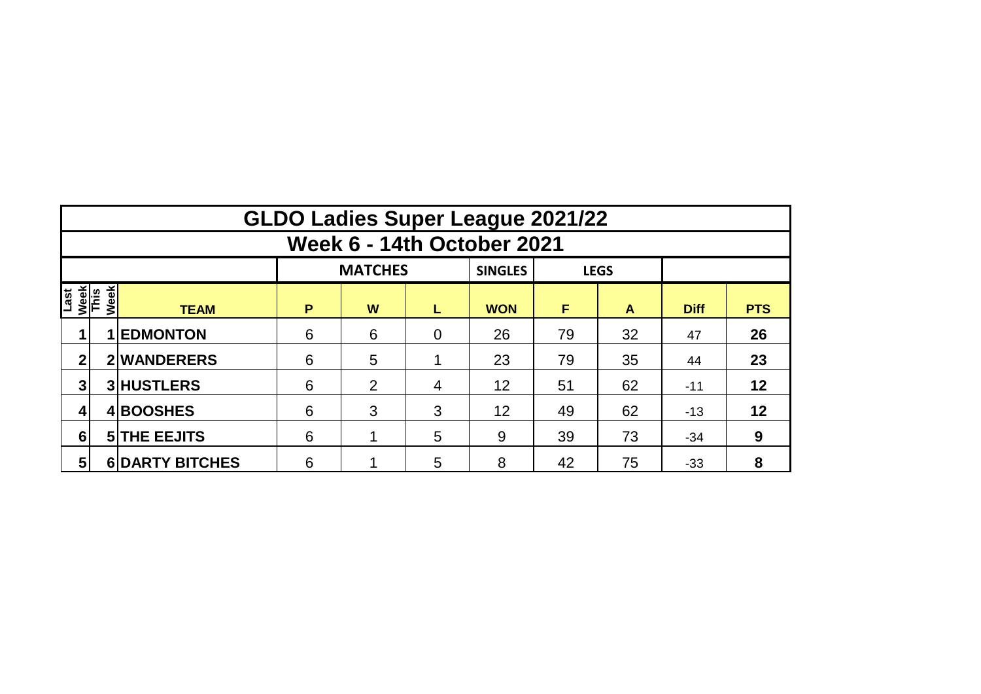|                                     | <b>GLDO Ladies Super League 2021/22</b> |                        |   |                |                |                |    |             |             |            |  |  |  |  |
|-------------------------------------|-----------------------------------------|------------------------|---|----------------|----------------|----------------|----|-------------|-------------|------------|--|--|--|--|
|                                     | <b>Week 6 - 14th October 2021</b>       |                        |   |                |                |                |    |             |             |            |  |  |  |  |
|                                     |                                         |                        |   | <b>MATCHES</b> |                | <b>SINGLES</b> |    | <b>LEGS</b> |             |            |  |  |  |  |
| Last<br><u>Week</u><br>This<br>Week |                                         | <b>TEAM</b>            | P | W              | L              | <b>WON</b>     | F  | A           | <b>Diff</b> | <b>PTS</b> |  |  |  |  |
|                                     |                                         | <b>1 EDMONTON</b>      | 6 | 6              | $\overline{0}$ | 26             | 79 | 32          | 47          | 26         |  |  |  |  |
| 2                                   |                                         | 2 WANDERERS            | 6 | 5              |                | 23             | 79 | 35          | 44          | 23         |  |  |  |  |
| 3                                   |                                         | <b>3 HUSTLERS</b>      | 6 | 2              | 4              | 12             | 51 | 62          | $-11$       | 12         |  |  |  |  |
|                                     |                                         | 4BOOSHES               | 6 | 3              | 3              | 12             | 49 | 62          | $-13$       | 12         |  |  |  |  |
| 6                                   |                                         | <b>5 THE EEJITS</b>    | 6 |                | 5              | 9              | 39 | 73          | $-34$       | 9          |  |  |  |  |
| $5\phantom{1}$                      |                                         | <b>6 DARTY BITCHES</b> | 6 |                | 5              | 8              | 42 | 75          | $-33$       | 8          |  |  |  |  |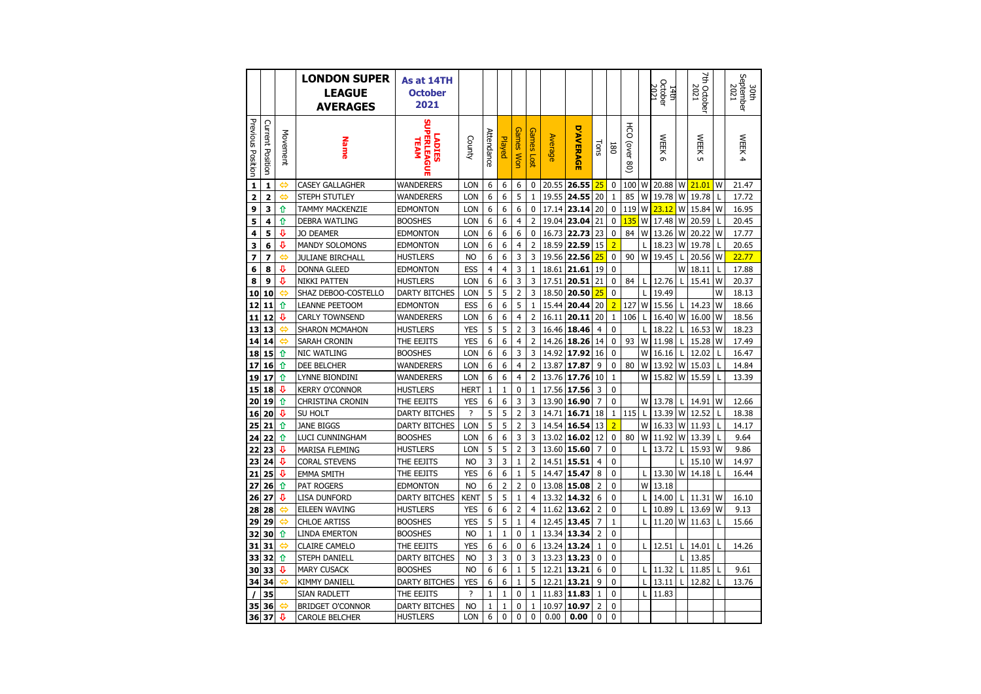|                   |                  |          | <b>LONDON SUPER</b><br><b>LEAGUE</b><br><b>AVERAGES</b> | As at 14TH<br><b>October</b><br>2021    |                                          |                   |                   |                  |                              |                |                  |                     |                              |                                           |        | October<br>2021<br>14th |    | 7th October<br>2021 |              | September<br>2021<br>30th |
|-------------------|------------------|----------|---------------------------------------------------------|-----------------------------------------|------------------------------------------|-------------------|-------------------|------------------|------------------------------|----------------|------------------|---------------------|------------------------------|-------------------------------------------|--------|-------------------------|----|---------------------|--------------|---------------------------|
| Previous Position | Current Position | Movement | <b>Name</b>                                             | PERLEAGUE<br><b>LADIES</b><br>TEAM      | County                                   | Attendance        | Played            | <b>Games Won</b> | Games<br>10 <sup>2</sup>     | <b>Average</b> | <b>D'AVERAGE</b> | Tons                | 180                          | $\overline{5}$<br>(over<br>$\overline{8}$ |        | <b>WEEK</b><br>ō        |    | <b>WEEK</b><br>ūп   |              | WEEK 4                    |
| $\mathbf{1}$      | $\mathbf{1}$     |          | <b>CASEY GALLAGHER</b>                                  | <b>WANDERERS</b>                        | <b>LON</b>                               | 6                 | 6                 | 6                | 0                            | 20.55          | 26.55            | 25                  | $\mathbf 0$                  | 100                                       | W      | 20.88                   |    | $W$ 21.01           | W            | 21.47                     |
| 2                 | $\overline{a}$   | ⇔        | STEPH STUTLEY                                           | WANDERERS                               | LON                                      | 6                 | 6                 | 5                | $\mathbf{1}$                 | 19.55          | 24.55            | 20                  | $\mathbf{1}$                 | 85                                        | W      | 19.78                   | W  | 19.78               | L            | 17.72                     |
| 9                 | 3                | ⇧        | TAMMY MACKENZIE                                         | EDMONTON                                | <b>LON</b>                               | 6                 | 6                 | 6                | 0                            | 17.14          | 23.14            | 20                  | 0                            | 119                                       | W      | 23.12                   | W  | 15.84               | W            | 16.95                     |
| 5                 | 4                | ⇧        | <b>DEBRA WATLING</b>                                    | <b>BOOSHES</b>                          | LON                                      | 6                 | 6                 | $\overline{4}$   | $\overline{2}$               | 19.04          | 23.04            | 21                  | $\mathbf 0$                  | 135                                       | W      | 17.48                   | W  | 20.59               | $\mathsf{L}$ | 20.45                     |
| 4                 | 5                | ⇩        | <b>JO DEAMER</b>                                        | <b>EDMONTON</b>                         | LON                                      | 6                 | 6                 | 6                | $\mathbf 0$                  | 16.73          | 22.73            | 23                  | 0                            | 84                                        | W      | 13.26                   | W  | 20.22               | W            | 17.77                     |
| 3                 | 6                | ⇩        | <b>MANDY SOLOMONS</b>                                   | <b>EDMONTON</b>                         | <b>LON</b>                               | 6                 | 6                 | 4                | $\overline{2}$               | 18.59          | 22.59            | 15                  | $\overline{2}$               |                                           | L      | 18.23                   | W  | 19.78               | L            | 20.65                     |
| 7                 | 7                | ⇔        | <b>JULIANE BIRCHALL</b>                                 | HUSTLERS                                | <b>NO</b>                                | 6                 | 6                 | 3                | 3                            | 19.56          | 22.56            | 25                  | 0                            | 90                                        | W      | 19.45                   |    | 20.56               | W            | 22.77                     |
| 6                 | 8                | ⊕        | <b>DONNA GLEED</b>                                      | <b>EDMONTON</b>                         | ESS                                      | 4                 | 4                 | 3                | $1\,$                        | 18.61          | 21.61            | 19                  | $\mathbf{0}$                 |                                           |        |                         | W  | 18.11               | L            | 17.88                     |
| 8                 | 9                | ⇩        | <b>NIKKI PATTEN</b>                                     | <b>HUSTLERS</b>                         | LON                                      | 6                 | 6                 | 3                | 3                            | 17.51          | 20.51            | 21                  | 0                            | 84                                        | L      | 12.76                   |    | 15.41               | W            | 20.37                     |
| 10                | 10               | یے       | SHAZ DEBOO-COSTELLO                                     | <b>DARTY BITCHES</b>                    | LON                                      | 5                 | 5                 | $\overline{2}$   | 3                            | 18.50          | 20.50            | 25                  | $\Omega$                     |                                           | L      | 19.49                   |    |                     | W            | 18.13                     |
| 12                | 11               | ⇧        | <b>LEANNE PEETOOM</b>                                   | <b>EDMONTON</b>                         | ESS                                      | 6                 | 6                 | 5                | $\mathbf{1}$                 | 15.44          | 20.44            | 20                  | $\overline{2}$               | 127                                       | W      | 15.56                   |    | 14.23               | W            | 18.66                     |
| 11                | 12               | ⊕        | <b>CARLY TOWNSEND</b>                                   | WANDERERS                               | <b>LON</b>                               | 6                 | 6                 | $\overline{4}$   | $\overline{2}$               | 16.11          | 20.11            | 20                  | $\mathbf{1}$                 | 106                                       | L      | 16.40                   | W  | 16.00               | W            | 18.56                     |
| 13                | 13               | ⇔        | SHARON MCMAHON                                          | HUSTLERS                                | <b>YES</b>                               | 5                 | 5                 | $\overline{2}$   | 3                            | 16.46          | 18.46            | $\overline{4}$      | $\mathbf 0$                  |                                           | L      | 18.22                   |    | 16.53               | W            | 18.23                     |
| 14                | 14               | ہے       | SARAH CRONIN                                            | THE EEJITS                              | <b>YES</b>                               | 6                 | 6                 | 4                | $\overline{2}$               | 14.26          | 18.26            | 14                  | 0                            | 93                                        | W      | 11.98                   | L  | 15.28               | W            | 17.49                     |
| 18                | 15               | ⇧        | NIC WATLING                                             | <b>BOOSHES</b>                          | LON                                      | 6                 | 6                 | 3                | 3                            | 14.92          | 17.92            | 16                  | $\mathbf{0}$                 |                                           | W      | 16.16                   |    | 12.02               |              | 16.47                     |
| 17                | 16               | ⇧        | DEE BELCHER                                             | WANDERERS                               | LON                                      | 6                 | 6                 | $\overline{4}$   | $\overline{2}$               | 13.87          | 17.87            | 9                   | 0                            | 80                                        | W      | 13.92                   | W  | 15.03               | L            | 14.84                     |
| 19                | 17               | ⇧        | LYNNE BIONDINI                                          | WANDERERS                               | LON                                      | 6                 | 6                 | 4                | $\overline{2}$               | 13.76          | 17.76            | 10                  | $\mathbf{1}$                 |                                           | W      | 15.82                   | W  | 15.59               | L            | 13.39                     |
| 15                | 18               | ⇩        | <b>KERRY O'CONNOR</b>                                   | HUSTLERS                                | HERT                                     | $1\,$             | 1                 | 0                | $1\,$                        | 17.56          | 17.56            | 3                   | $\mathbf 0$                  |                                           |        |                         |    |                     |              |                           |
| 20                | 19               | ⇧        | CHRISTINA CRONIN                                        | THE EEJITS                              | <b>YES</b>                               | 6                 | 6                 | 3                | 3                            | 13.90          | 16.90            | 7                   | $\mathbf{0}$                 |                                           | W      | 13.78                   |    | 14.91               | W            | 12.66                     |
| 16                | 20               | ⇩        | SU HOLT                                                 | <b>DARTY BITCHES</b>                    | ?                                        | 5                 | 5                 | $\overline{2}$   | 3                            | 14.71          | 16.71            | 18                  | $\mathbf{1}$                 | 115                                       |        | 13.39                   | W  | 12.52               | L            | 18.38                     |
| 25                | 21               | ⇧        | <b>JANE BIGGS</b>                                       | <b>DARTY BITCHES</b>                    | LON                                      | 5                 | 5                 | $\overline{2}$   | 3                            | 14.54          | 16.54            | 13                  | $\overline{2}$               |                                           | W      | 16.33                   | W  | 11.93               | L            | 14.17                     |
| 24                | 22               | ⇧        | LUCI CUNNINGHAM                                         | <b>BOOSHES</b>                          | LON                                      | 6                 | 6                 | 3                | 3                            | 13.02          | 16.02            | 12                  | $\mathbf 0$                  | 80                                        | W      | 11.92                   | W  | 13.39               | L            | 9.64                      |
| 22                | 23               | ⇩        | MARISA FLEMING                                          | <b>HUSTLERS</b>                         | <b>LON</b>                               | 5                 | 5                 | $\overline{2}$   | 3                            | 13.60          | 15.60            | $\overline{7}$      | $\mathbf{0}$                 |                                           | L      | 13.72                   | Ι. | 15.93               | W            | 9.86                      |
| 23                | 24               | ⇩        | <b>CORAL STEVENS</b>                                    | THE EEJITS                              | <b>NO</b>                                | 3                 | 3                 | $1\,$            | $\overline{2}$               | 14.51          | 15.51            | 4                   | 0                            |                                           |        |                         |    | 15.10               | W            | 14.97                     |
| 21                | 25               | ⊕        | <b>EMMA SMITH</b>                                       | THE EEJITS                              | <b>YES</b>                               | 6                 | 6                 | $\mathbf{1}$     | 5                            | 14.47          | 15.47            | 8                   | $\mathbf{0}$                 |                                           | L      | 13.30                   | W  | 14.18               | L            | 16.44                     |
| 27                | 26               | ⇧        | PAT ROGERS                                              | <b>EDMONTON</b>                         | <b>NO</b>                                | 6                 | $\overline{2}$    | $\overline{2}$   | $\mathbf 0$                  | 13.08          | 15.08            | $\overline{2}$      | $\mathbf{0}$                 |                                           | W      | 13.18                   |    |                     |              |                           |
| 26                | 27               | ⇩        | LISA DUNFORD                                            | <b>DARTY BITCHES</b>                    | <b>KENT</b>                              | 5                 | 5                 | $1\,$            | $\overline{4}$               | 13.32          | 14.32            | 6                   | 0                            |                                           | L      | 14.00                   |    | 11.31               | W            | 16.10                     |
| 28                | 28               | ⇔        | EILEEN WAVING                                           | HUSTLERS                                | <b>YES</b>                               | 6                 | 6                 | $\overline{c}$   | 4                            | 11.62          | 13.62            | $\overline{2}$      | $\mathbf{0}$                 |                                           | L      | 10.89                   |    | 13.69               | W            | 9.13                      |
| 29                | 29               | ⇔        | <b>CHLOE ARTISS</b>                                     | <b>BOOSHES</b>                          | <b>YES</b>                               | 5                 | 5                 | $1\,$            | $\overline{4}$               | 12.45          | 13.45            | 7                   | $\mathbf{1}$                 |                                           | L      | 11.20                   | W  | 11.63               | L            | 15.66                     |
| 32                | 30               | ⇧        | LINDA EMERTON                                           | <b>BOOSHES</b>                          | <b>NO</b>                                | $\mathbf 1$       | $\mathbf{1}$      | $\mathbf 0$      | $\mathbf{1}$                 | 13.34          | 13.34            | $\overline{2}$      | $\mathbf{0}$                 |                                           |        |                         |    |                     |              |                           |
| 31                | 31               | ⇔        | <b>CLAIRE CAMELO</b>                                    | THE EEJITS                              | <b>YES</b>                               | 6                 | 6                 | 0                | 6                            | 13.24          | 13.24            | 1                   | 0                            |                                           | L      | 12.51                   |    | 14.01               | L            | 14.26                     |
| 33                | 32               | 介<br>J   | STEPH DANIELL                                           | <b>DARTY BITCHES</b>                    | N <sub>O</sub>                           | 3                 | 3                 | $\mathbf{0}$     | 3<br>5                       | 13.23<br>12.21 | 13.23<br>13.21   | $\mathbf{0}$<br>6   | $\mathbf{0}$<br>$\mathbf{0}$ |                                           | I      |                         |    | 13.85               |              |                           |
| 30                | 33               |          | <b>MARY CUSACK</b>                                      | <b>BOOSHES</b>                          | N <sub>O</sub>                           | 6                 | 6                 | $\mathbf 1$      |                              |                |                  |                     |                              |                                           |        | 11.32                   |    | 11.85               | L            | 9.61                      |
| 34                | 34               | ⇔        | <b>KIMMY DANIELL</b>                                    | <b>DARTY BITCHES</b>                    | <b>YES</b><br>$\boldsymbol{\mathcal{P}}$ | 6                 | 6                 | 1<br>0           | 5                            | 12.21<br>11.83 | 13.21            | 9                   | 0<br>$\mathbf{0}$            |                                           | L<br>L | 13.11                   | L  | 12.82               | L            | 13.76                     |
|                   | 35               |          | SIAN RADLETT                                            | THE EEJITS                              |                                          | $\mathbf 1$       | 1                 |                  | $1\,$                        |                | 11.83            | 1                   |                              |                                           |        | 11.83                   |    |                     |              |                           |
| 35                | 36               | ⇔<br>⊕   | <b>BRIDGET O'CONNOR</b>                                 | <b>DARTY BITCHES</b><br><b>HUSTLERS</b> | N <sub>O</sub><br><b>LON</b>             | $\mathbf{1}$<br>6 | 1<br>$\mathbf{0}$ | 0<br>0           | $\mathbf{1}$<br>$\mathbf{0}$ | 10.97<br>0.00  | 10.97<br>0.00    | $\overline{2}$<br>0 | $\mathbf{0}$<br>$\Omega$     |                                           |        |                         |    |                     |              |                           |
| 36                | 37               |          | CAROLE BELCHER                                          |                                         |                                          |                   |                   |                  |                              |                |                  |                     |                              |                                           |        |                         |    |                     |              |                           |